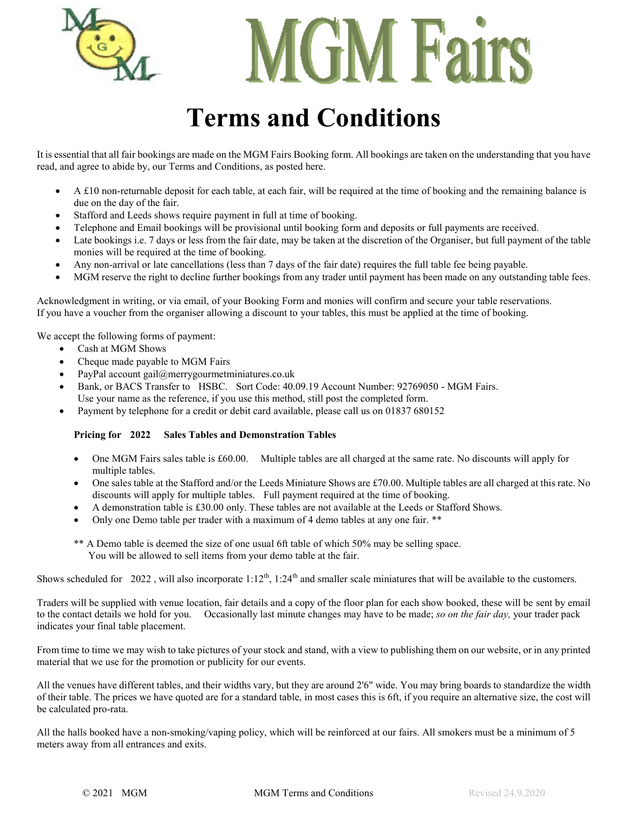



## **Terms and Conditions**

It is essential that all fair bookings are made on the MGM Fairs Booking form. All bookings are taken on the understanding that you have read, and agree to abide by, our Terms and Conditions, as posted here.

- A £10 non-returnable deposit for each table, at each fair, will be required at the time of booking and the remaining balance is due on the day of the fair.
- Stafford and Leeds shows require payment in full at time of booking.
- Telephone and Email bookings will be provisional until booking form and deposits or full payments are received.
- Late bookings i.e. 7 days or less from the fair date, may be taken at the discretion of the Organiser, but full payment of the table monies will be required at the time of booking.
- Any non-arrival or late cancellations (less than 7 days of the fair date) requires the full table fee being payable.
- MGM reserve the right to decline further bookings from any trader until payment has been made on any outstanding table fees.

Acknowledgment in writing, or via email, of your Booking Form and monies will confirm and secure your table reservations. If you have a voucher from the organiser allowing a discount to your tables, this must be applied at the time of booking.

We accept the following forms of payment:

- Cash at MGM Shows
- Cheque made payable to MGM Fairs
- PayPal account gail@merrygourmetminiatures.co.uk
- Bank, or BACS Transfer to HSBC. Sort Code: 40.09.19 Account Number: 92769050 MGM Fairs. Use your name as the reference, if you use this method, still post the completed form.
- Payment by telephone for a credit or debit card available, please call us on 01837 680152

#### **Pricing for 2022 Sales Tables and Demonstration Tables**

- One MGM Fairs sales table is £60.00. Multiple tables are all charged at the same rate. No discounts will apply for multiple tables.
- One sales table at the Stafford and/or the Leeds Miniature Shows are £70.00. Multiple tables are all charged at this rate. No discounts will apply for multiple tables. Full payment required at the time of booking.
- A demonstration table is £30.00 only. These tables are not available at the Leeds or Stafford Shows.
- Only one Demo table per trader with a maximum of 4 demo tables at any one fair. \*\*
- \*\* A Demo table is deemed the size of one usual 6ft table of which 50% may be selling space. You will be allowed to sell items from your demo table at the fair.

Shows scheduled for 2022, will also incorporate  $1:12^{th}$ ,  $1:24^{th}$  and smaller scale miniatures that will be available to the customers.

Traders will be supplied with venue location, fair details and a copy of the floor plan for each show booked, these will be sent by email to the contact details we hold for you. Occasionally last minute changes may have to be made; *so on the fair day,* your trader pack indicates your final table placement.

From time to time we may wish to take pictures of your stock and stand, with a view to publishing them on our website, or in any printed material that we use for the promotion or publicity for our events.

All the venues have different tables, and their widths vary, but they are around 2'6" wide. You may bring boards to standardize the width of their table. The prices we have quoted are for a standard table, in most cases this is 6ft, if you require an alternative size, the cost will be calculated pro-rata.

All the halls booked have a non-smoking/vaping policy, which will be reinforced at our fairs. All smokers must be a minimum of 5 meters away from all entrances and exits.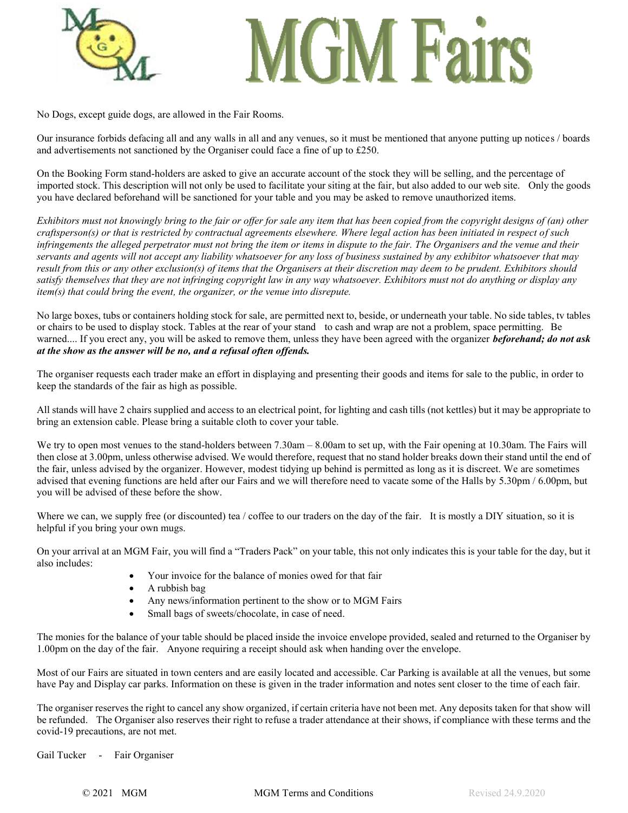

## **Cim Fairs**

No Dogs, except guide dogs, are allowed in the Fair Rooms.

Our insurance forbids defacing all and any walls in all and any venues, so it must be mentioned that anyone putting up notices / boards and advertisements not sanctioned by the Organiser could face a fine of up to £250.

On the Booking Form stand-holders are asked to give an accurate account of the stock they will be selling, and the percentage of imported stock. This description will not only be used to facilitate your siting at the fair, but also added to our web site. Only the goods you have declared beforehand will be sanctioned for your table and you may be asked to remove unauthorized items.

*Exhibitors must not knowingly bring to the fair or offer for sale any item that has been copied from the copyright designs of (an) other craftsperson(s) or that is restricted by contractual agreements elsewhere. Where legal action has been initiated in respect of such infringements the alleged perpetrator must not bring the item or items in dispute to the fair. The Organisers and the venue and their servants and agents will not accept any liability whatsoever for any loss of business sustained by any exhibitor whatsoever that may result from this or any other exclusion(s) of items that the Organisers at their discretion may deem to be prudent. Exhibitors should satisfy themselves that they are not infringing copyright law in any way whatsoever. Exhibitors must not do anything or display any item(s) that could bring the event, the organizer, or the venue into disrepute.*

No large boxes, tubs or containers holding stock for sale, are permitted next to, beside, or underneath your table. No side tables, tv tables or chairs to be used to display stock. Tables at the rear of your stand to cash and wrap are not a problem, space permitting. Be warned.... If you erect any, you will be asked to remove them, unless they have been agreed with the organizer *beforehand; do not ask at the show as the answer will be no, and a refusal often offends.* 

The organiser requests each trader make an effort in displaying and presenting their goods and items for sale to the public, in order to keep the standards of the fair as high as possible.

All stands will have 2 chairs supplied and access to an electrical point, for lighting and cash tills (not kettles) but it may be appropriate to bring an extension cable. Please bring a suitable cloth to cover your table.

We try to open most venues to the stand-holders between 7.30am – 8.00am to set up, with the Fair opening at 10.30am. The Fairs will then close at 3.00pm, unless otherwise advised. We would therefore, request that no stand holder breaks down their stand until the end of the fair, unless advised by the organizer. However, modest tidying up behind is permitted as long as it is discreet. We are sometimes advised that evening functions are held after our Fairs and we will therefore need to vacate some of the Halls by 5.30pm / 6.00pm, but you will be advised of these before the show.

Where we can, we supply free (or discounted) tea / coffee to our traders on the day of the fair. It is mostly a DIY situation, so it is helpful if you bring your own mugs.

On your arrival at an MGM Fair, you will find a "Traders Pack" on your table, this not only indicates this is your table for the day, but it also includes:

- Your invoice for the balance of monies owed for that fair
- A rubbish bag
- Any news/information pertinent to the show or to MGM Fairs
- Small bags of sweets/chocolate, in case of need.

The monies for the balance of your table should be placed inside the invoice envelope provided, sealed and returned to the Organiser by 1.00pm on the day of the fair. Anyone requiring a receipt should ask when handing over the envelope.

Most of our Fairs are situated in town centers and are easily located and accessible. Car Parking is available at all the venues, but some have Pay and Display car parks. Information on these is given in the trader information and notes sent closer to the time of each fair.

The organiser reserves the right to cancel any show organized, if certain criteria have not been met. Any deposits taken for that show will be refunded. The Organiser also reserves their right to refuse a trader attendance at their shows, if compliance with these terms and the covid-19 precautions, are not met.

Gail Tucker - Fair Organiser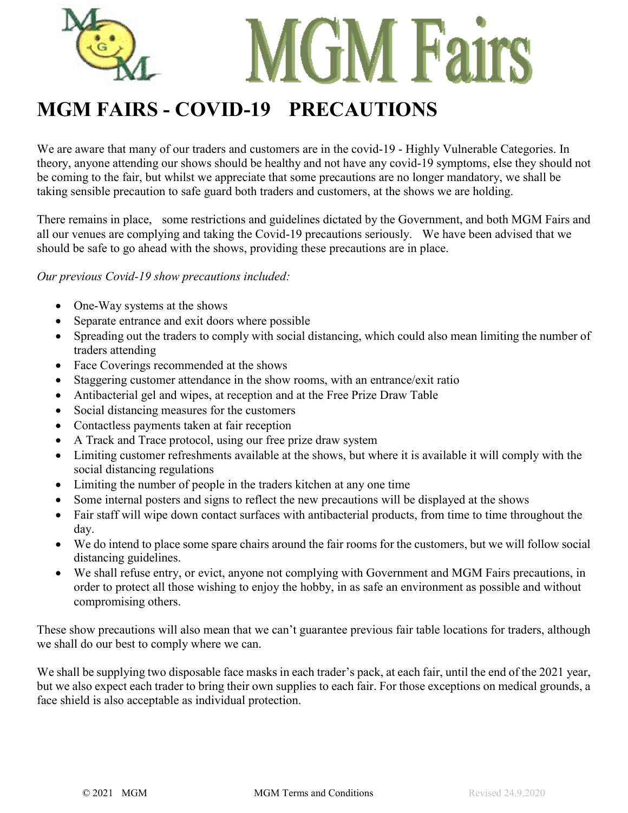

### **MGM FAIRS - COVID-19 PRECAUTIONS**

We are aware that many of our traders and customers are in the covid-19 - Highly Vulnerable Categories. In theory, anyone attending our shows should be healthy and not have any covid-19 symptoms, else they should not be coming to the fair, but whilst we appreciate that some precautions are no longer mandatory, we shall be taking sensible precaution to safe guard both traders and customers, at the shows we are holding.

There remains in place, some restrictions and guidelines dictated by the Government, and both MGM Fairs and all our venues are complying and taking the Covid-19 precautions seriously. We have been advised that we should be safe to go ahead with the shows, providing these precautions are in place.

### *Our previous Covid-19 show precautions included:*

- One-Way systems at the shows
- Separate entrance and exit doors where possible
- Spreading out the traders to comply with social distancing, which could also mean limiting the number of traders attending
- Face Coverings recommended at the shows
- Staggering customer attendance in the show rooms, with an entrance/exit ratio
- Antibacterial gel and wipes, at reception and at the Free Prize Draw Table
- Social distancing measures for the customers
- Contactless payments taken at fair reception
- A Track and Trace protocol, using our free prize draw system
- Limiting customer refreshments available at the shows, but where it is available it will comply with the social distancing regulations
- Limiting the number of people in the traders kitchen at any one time
- Some internal posters and signs to reflect the new precautions will be displayed at the shows
- Fair staff will wipe down contact surfaces with antibacterial products, from time to time throughout the day.
- We do intend to place some spare chairs around the fair rooms for the customers, but we will follow social distancing guidelines.
- We shall refuse entry, or evict, anyone not complying with Government and MGM Fairs precautions, in order to protect all those wishing to enjoy the hobby, in as safe an environment as possible and without compromising others.

These show precautions will also mean that we can't guarantee previous fair table locations for traders, although we shall do our best to comply where we can.

We shall be supplying two disposable face masks in each trader's pack, at each fair, until the end of the 2021 year, but we also expect each trader to bring their own supplies to each fair. For those exceptions on medical grounds, a face shield is also acceptable as individual protection.